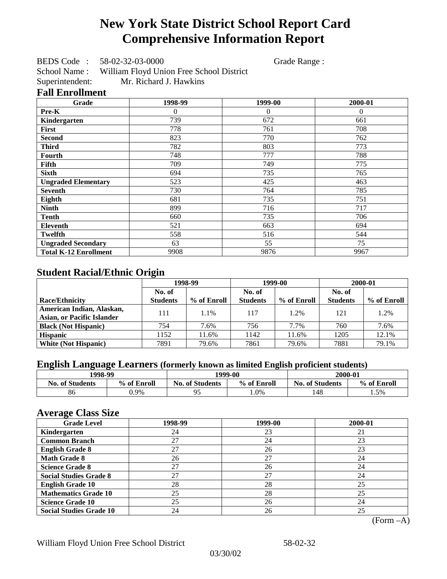# **New York State District School Report Card Comprehensive Information Report**

BEDS Code : 58-02-32-03-0000 Grade Range :

School Name : William Floyd Union Free School District Superintendent: Mr. Richard J. Hawkins

### **Fall Enrollment**

| Grade                        | 1998-99  | 1999-00  | 2000-01  |
|------------------------------|----------|----------|----------|
| Pre-K                        | $\Omega$ | $\theta$ | $\theta$ |
| Kindergarten                 | 739      | 672      | 661      |
| First                        | 778      | 761      | 708      |
| <b>Second</b>                | 823      | 770      | 762      |
| <b>Third</b>                 | 782      | 803      | 773      |
| Fourth                       | 748      | 777      | 788      |
| Fifth                        | 709      | 749      | 775      |
| <b>Sixth</b>                 | 694      | 735      | 765      |
| <b>Ungraded Elementary</b>   | 523      | 425      | 463      |
| <b>Seventh</b>               | 730      | 764      | 785      |
| Eighth                       | 681      | 735      | 751      |
| <b>Ninth</b>                 | 899      | 716      | 717      |
| <b>Tenth</b>                 | 660      | 735      | 706      |
| <b>Eleventh</b>              | 521      | 663      | 694      |
| <b>Twelfth</b>               | 558      | 516      | 544      |
| <b>Ungraded Secondary</b>    | 63       | 55       | 75       |
| <b>Total K-12 Enrollment</b> | 9908     | 9876     | 9967     |

## **Student Racial/Ethnic Origin**

|                                   | 1998-99         |             |                 | 1999-00     | 2000-01         |             |
|-----------------------------------|-----------------|-------------|-----------------|-------------|-----------------|-------------|
|                                   | No. of          |             | No. of          |             | No. of          |             |
| <b>Race/Ethnicity</b>             | <b>Students</b> | % of Enroll | <b>Students</b> | % of Enroll | <b>Students</b> | % of Enroll |
| American Indian, Alaskan,         | 111             | 1.1%        | 117             | 1.2%        | 121             | 1.2%        |
| <b>Asian, or Pacific Islander</b> |                 |             |                 |             |                 |             |
| <b>Black (Not Hispanic)</b>       | 754             | 7.6%        | 756             | 7.7%        | 760             | 7.6%        |
| <b>Hispanic</b>                   | 1152            | 11.6%       | 1142            | 11.6%       | 1205            | 12.1%       |
| <b>White (Not Hispanic)</b>       | 7891            | 79.6%       | 7861            | 79.6%       | 7881            | 79.1%       |

## **English Language Learners (formerly known as limited English proficient students)**

| 1998-99                |             |                                       | 1999-00 | 2000-01                |             |  |
|------------------------|-------------|---------------------------------------|---------|------------------------|-------------|--|
| <b>No. of Students</b> | % of Enroll | % of Enroll<br><b>No. of Students</b> |         | <b>No. of Students</b> | % of Enroll |  |
| 86                     | ).9%        | 0٤<br>ر 7                             | 1.0%    | 148                    | . . 5%      |  |

### **Average Class Size**

| <b>Grade Level</b>             | 1998-99 | 1999-00 | 2000-01 |
|--------------------------------|---------|---------|---------|
| Kindergarten                   | 24      | 23      | 21      |
| <b>Common Branch</b>           | 27      | 24      | 23      |
| <b>English Grade 8</b>         | 27      | 26      | 23      |
| <b>Math Grade 8</b>            | 26      | 27      | 24      |
| <b>Science Grade 8</b>         | 27      | 26      | 24      |
| <b>Social Studies Grade 8</b>  | 27      | 27      | 24      |
| <b>English Grade 10</b>        | 28      | 28      | 25      |
| <b>Mathematics Grade 10</b>    | 25      | 28      | 25      |
| <b>Science Grade 10</b>        | 25      | 26      | 24      |
| <b>Social Studies Grade 10</b> | 24      | 26      | 25      |

(Form –A)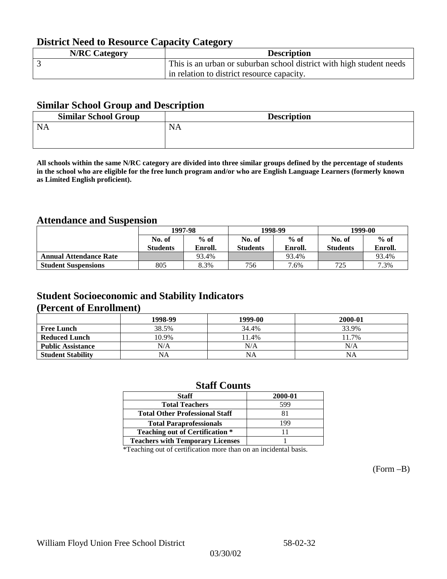## **District Need to Resource Capacity Category**

| <b>N/RC Category</b> | <b>Description</b>                                                   |
|----------------------|----------------------------------------------------------------------|
|                      | This is an urban or suburban school district with high student needs |
|                      | in relation to district resource capacity.                           |

### **Similar School Group and Description**

| <b>Description</b> |
|--------------------|
|                    |
|                    |

**All schools within the same N/RC category are divided into three similar groups defined by the percentage of students in the school who are eligible for the free lunch program and/or who are English Language Learners (formerly known as Limited English proficient).**

### **Attendance and Suspension**

|                               | 1997-98         |         |                 | 1998-99 | 1999-00         |         |
|-------------------------------|-----------------|---------|-----------------|---------|-----------------|---------|
|                               | No. of          | $%$ of  | No. of          | $%$ of  | No. of          | $%$ of  |
|                               | <b>Students</b> | Enroll. | <b>Students</b> | Enroll. | <b>Students</b> | Enroll. |
| <b>Annual Attendance Rate</b> |                 | 93.4%   |                 | 93.4%   |                 | 93.4%   |
| <b>Student Suspensions</b>    | 805             | 8.3%    | 756             | 7.6%    | 725             | 7.3%    |

### **Student Socioeconomic and Stability Indicators (Percent of Enrollment)**

|                          | 1998-99 | 1999-00   | 2000-01 |
|--------------------------|---------|-----------|---------|
| <b>Free Lunch</b>        | 38.5%   | 34.4%     | 33.9%   |
| <b>Reduced Lunch</b>     | 10.9%   | 11.4%     | 11.7%   |
| <b>Public Assistance</b> | N/A     | N/A       | N/A     |
| <b>Student Stability</b> | NA      | <b>NA</b> | NA      |

### **Staff Counts**

| 2000-01 |
|---------|
| 599     |
| 81      |
| 199     |
|         |
|         |
|         |

\*Teaching out of certification more than on an incidental basis.

(Form –B)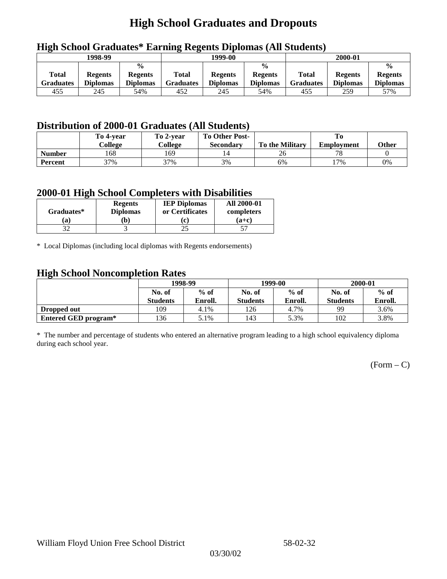# **High School Graduates and Dropouts**

|                           | 1998-99                           |                                                    | -<br>1999-00              |                                   |                                                    | 2000-01                          |                                   |                                                    |  |
|---------------------------|-----------------------------------|----------------------------------------------------|---------------------------|-----------------------------------|----------------------------------------------------|----------------------------------|-----------------------------------|----------------------------------------------------|--|
| Total<br><b>Graduates</b> | <b>Regents</b><br><b>Diplomas</b> | $\frac{6}{6}$<br><b>Regents</b><br><b>Diplomas</b> | Total<br><b>Graduates</b> | <b>Regents</b><br><b>Diplomas</b> | $\frac{6}{6}$<br><b>Regents</b><br><b>Diplomas</b> | <b>Total</b><br><b>Graduates</b> | <b>Regents</b><br><b>Diplomas</b> | $\frac{0}{0}$<br><b>Regents</b><br><b>Diplomas</b> |  |
| 455                       | 245                               | 54%                                                | 452                       | 245                               | 54%                                                | 455                              | 259                               | 57%                                                |  |

## **High School Graduates\* Earning Regents Diplomas (All Students)**

## **Distribution of 2000-01 Graduates (All Students)**

|                | To 4-year<br>College | To 2-year<br>College | <b>To Other Post-</b> | <b>To the Military</b> |                   | Other |
|----------------|----------------------|----------------------|-----------------------|------------------------|-------------------|-------|
|                |                      |                      | <b>Secondary</b>      |                        | <b>Employment</b> |       |
| <b>Number</b>  | 168                  | 169                  | 14                    | 26                     | 70                |       |
| <b>Percent</b> | 37%                  | 37%                  | 3%                    | 6%                     | $17\%$            | 0%    |

### **2000-01 High School Completers with Disabilities**

| Graduates* | <b>Regents</b><br><b>Diplomas</b> | <b>IEP Diplomas</b><br>or Certificates | <b>All 2000-01</b><br>completers |  |
|------------|-----------------------------------|----------------------------------------|----------------------------------|--|
| 'a         | b)                                |                                        | $(a+c)$                          |  |
|            |                                   |                                        |                                  |  |

\* Local Diplomas (including local diplomas with Regents endorsements)

### **High School Noncompletion Rates**

| ັ                    | 1998-99         |         |                 | 1999-00 | 2000-01         |         |
|----------------------|-----------------|---------|-----------------|---------|-----------------|---------|
|                      | No. of          | $%$ of  | No. of          | $%$ of  | No. of          | $%$ of  |
|                      | <b>Students</b> | Enroll. | <b>Students</b> | Enroll. | <b>Students</b> | Enroll. |
| Dropped out          | 109             | 4.1%    | 126             | 4.7%    | 99              | 3.6%    |
| Entered GED program* | l 36            | 5.1%    | 143             | 5.3%    | 102             | 3.8%    |

\* The number and percentage of students who entered an alternative program leading to a high school equivalency diploma during each school year.

 $(Form - C)$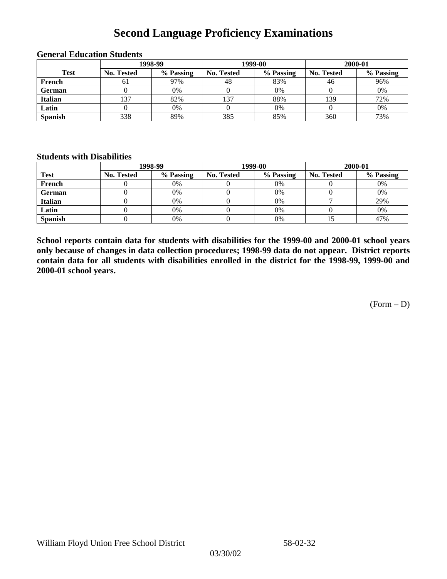## **Second Language Proficiency Examinations**

|                | 1998-99           |           |                   | 1999-00   | 2000-01           |           |  |
|----------------|-------------------|-----------|-------------------|-----------|-------------------|-----------|--|
| <b>Test</b>    | <b>No. Tested</b> | % Passing | <b>No. Tested</b> | % Passing | <b>No. Tested</b> | % Passing |  |
| French         | 61                | 97%       | 48                | 83%       | 46                | 96%       |  |
| <b>German</b>  |                   | $0\%$     |                   | 0%        |                   | 0%        |  |
| <b>Italian</b> | 137               | 82%       | 137               | 88%       | 139               | 72%       |  |
| Latin          |                   | 0%        |                   | 0%        |                   | 0%        |  |
| <b>Spanish</b> | 338               | 89%       | 385               | 85%       | 360               | 73%       |  |

#### **General Education Students**

#### **Students with Disabilities**

|                | 1998-99    |           |                   | 1999-00   | 2000-01    |           |  |
|----------------|------------|-----------|-------------------|-----------|------------|-----------|--|
| <b>Test</b>    | No. Tested | % Passing | <b>No. Tested</b> | % Passing | No. Tested | % Passing |  |
| French         |            | 0%        |                   | 0%        |            | 0%        |  |
| <b>German</b>  |            | 0%        |                   | $0\%$     |            | 0%        |  |
| Italian        |            | 0%        |                   | 0%        |            | 29%       |  |
| Latin          |            | 0%        |                   | $0\%$     |            | 0%        |  |
| <b>Spanish</b> |            | 0%        |                   | 0%        |            | 47%       |  |

**School reports contain data for students with disabilities for the 1999-00 and 2000-01 school years only because of changes in data collection procedures; 1998-99 data do not appear. District reports contain data for all students with disabilities enrolled in the district for the 1998-99, 1999-00 and 2000-01 school years.**

 $(Form - D)$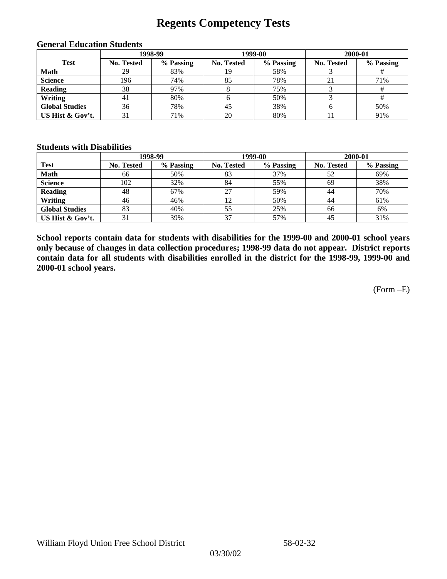## **Regents Competency Tests**

|                       | 1998-99           |           |                   | 1999-00   | 2000-01           |           |  |
|-----------------------|-------------------|-----------|-------------------|-----------|-------------------|-----------|--|
| <b>Test</b>           | <b>No. Tested</b> | % Passing | <b>No. Tested</b> | % Passing | <b>No. Tested</b> | % Passing |  |
| <b>Math</b>           | 29                | 83%       | 19                | 58%       |                   |           |  |
| <b>Science</b>        | 196               | 74%       | 85                | 78%       | 21                | 71%       |  |
| <b>Reading</b>        | 38                | 97%       |                   | 75%       |                   |           |  |
| Writing               | 41                | 80%       |                   | 50%       |                   |           |  |
| <b>Global Studies</b> | 36                | 78%       | 45                | 38%       |                   | 50%       |  |
| US Hist & Gov't.      |                   | 71%       | 20                | 80%       |                   | 91%       |  |

#### **General Education Students**

#### **Students with Disabilities**

|                       |                   | 1998-99   | 1999-00           |           | 2000-01           |           |
|-----------------------|-------------------|-----------|-------------------|-----------|-------------------|-----------|
| <b>Test</b>           | <b>No. Tested</b> | % Passing | <b>No. Tested</b> | % Passing | <b>No. Tested</b> | % Passing |
| <b>Math</b>           | 66                | 50%       | 83                | 37%       | 52                | 69%       |
| <b>Science</b>        | 102               | 32%       | 84                | 55%       | 69                | 38%       |
| <b>Reading</b>        | 48                | 67%       | 27                | 59%       | 44                | 70%       |
| Writing               | 46                | 46%       |                   | 50%       | 44                | 61%       |
| <b>Global Studies</b> | 83                | 40%       | 55                | 25%       | 66                | 6%        |
| US Hist & Gov't.      |                   | 39%       | 37                | 57%       | 45                | 31%       |

**School reports contain data for students with disabilities for the 1999-00 and 2000-01 school years only because of changes in data collection procedures; 1998-99 data do not appear. District reports contain data for all students with disabilities enrolled in the district for the 1998-99, 1999-00 and 2000-01 school years.**

(Form –E)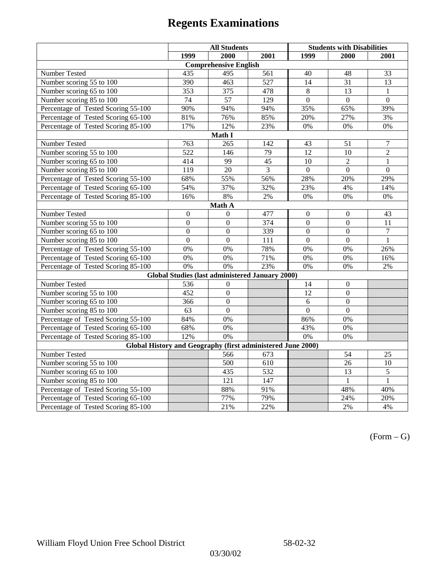|                                                             | <b>All Students</b> |                                                        |                 | <b>Students with Disabilities</b> |                  |                  |  |  |
|-------------------------------------------------------------|---------------------|--------------------------------------------------------|-----------------|-----------------------------------|------------------|------------------|--|--|
|                                                             | 1999                | 2000                                                   | 2001            | 1999                              | 2000             | 2001             |  |  |
|                                                             |                     | <b>Comprehensive English</b>                           |                 |                                   |                  |                  |  |  |
| Number Tested                                               | 435                 | 495                                                    | 561             | 40                                | 48               | 33               |  |  |
| Number scoring 55 to 100                                    | 390                 | 463                                                    | 527             | 14                                | $\overline{31}$  | 13               |  |  |
| Number scoring 65 to 100                                    | 353                 | 375                                                    | 478             | $\,8\,$                           | 13               | $\mathbf{1}$     |  |  |
| Number scoring 85 to 100                                    | 74                  | 57                                                     | 129             | $\overline{0}$                    | $\overline{0}$   | $\overline{0}$   |  |  |
| Percentage of Tested Scoring 55-100                         | 90%                 | 94%                                                    | 94%             | 35%                               | 65%              | 39%              |  |  |
| Percentage of Tested Scoring 65-100                         | 81%                 | 76%                                                    | 85%             | 20%                               | 27%              | 3%               |  |  |
| Percentage of Tested Scoring 85-100                         | 17%                 | 12%                                                    | 23%             | $0\%$                             | 0%               | $0\%$            |  |  |
|                                                             |                     | Math I                                                 |                 |                                   |                  |                  |  |  |
| Number Tested                                               | 763                 | 265                                                    | 142             | 43                                | 51               | $\boldsymbol{7}$ |  |  |
| Number scoring 55 to 100                                    | 522                 | 146                                                    | 79              | 12                                | 10               | $\overline{2}$   |  |  |
| Number scoring 65 to 100                                    | 414                 | 99                                                     | 45              | 10                                | $\overline{2}$   | $\mathbf{1}$     |  |  |
| Number scoring 85 to 100                                    | 119                 | $\overline{20}$                                        | $\overline{3}$  | $\overline{0}$                    | $\overline{0}$   | $\overline{0}$   |  |  |
| Percentage of Tested Scoring 55-100                         | 68%                 | 55%                                                    | 56%             | 28%                               | 20%              | 29%              |  |  |
| Percentage of Tested Scoring 65-100                         | 54%                 | 37%                                                    | 32%             | 23%                               | 4%               | 14%              |  |  |
| Percentage of Tested Scoring 85-100                         | 16%                 | $8\%$                                                  | $2\%$           | 0%                                | 0%               | $0\%$            |  |  |
| Math A                                                      |                     |                                                        |                 |                                   |                  |                  |  |  |
| Number Tested                                               | $\boldsymbol{0}$    | $\mathbf{0}$                                           | 477             | $\overline{0}$                    | $\boldsymbol{0}$ | 43               |  |  |
| Number scoring 55 to 100                                    | $\overline{0}$      | $\overline{0}$                                         | $\frac{1}{374}$ | $\overline{0}$                    | $\overline{0}$   | 11               |  |  |
| Number scoring 65 to 100                                    | $\overline{0}$      | $\mathbf{0}$                                           | 339             | $\boldsymbol{0}$                  | $\mathbf{0}$     | $\tau$           |  |  |
| Number scoring 85 to 100                                    | $\overline{0}$      | $\overline{0}$                                         | 111             | $\mathbf{0}$                      | $\boldsymbol{0}$ | $\mathbf{1}$     |  |  |
| Percentage of Tested Scoring 55-100                         | 0%                  | 0%                                                     | 78%             | 0%                                | 0%               | 26%              |  |  |
| Percentage of Tested Scoring 65-100                         | 0%                  | 0%                                                     | 71%             | 0%                                | 0%               | 16%              |  |  |
| Percentage of Tested Scoring 85-100                         | 0%                  | 0%                                                     | 23%             | 0%                                | 0%               | 2%               |  |  |
|                                                             |                     | <b>Global Studies (last administered January 2000)</b> |                 |                                   |                  |                  |  |  |
| Number Tested                                               | 536                 | $\mathbf{0}$                                           |                 | 14                                | $\boldsymbol{0}$ |                  |  |  |
| Number scoring 55 to 100                                    | 452                 | $\overline{0}$                                         |                 | $\overline{12}$                   | $\mathbf{0}$     |                  |  |  |
| Number scoring 65 to 100                                    | 366                 | $\mathbf{0}$                                           |                 | 6                                 | $\mathbf{0}$     |                  |  |  |
| Number scoring 85 to 100                                    | 63                  | $\Omega$                                               |                 | $\theta$                          | $\Omega$         |                  |  |  |
| Percentage of Tested Scoring 55-100                         | 84%                 | 0%                                                     |                 | 86%                               | $0\%$            |                  |  |  |
| Percentage of Tested Scoring 65-100                         | 68%                 | 0%                                                     |                 | 43%                               | 0%               |                  |  |  |
| Percentage of Tested Scoring 85-100                         | 12%                 | $\overline{0\%}$                                       |                 | $0\%$                             | 0%               |                  |  |  |
| Global History and Geography (first administered June 2000) |                     |                                                        |                 |                                   |                  |                  |  |  |
| Number Tested                                               |                     | 566                                                    | 673             |                                   | 54               | 25               |  |  |
| Number scoring 55 to 100                                    |                     | 500                                                    | 610             |                                   | 26               | $\overline{10}$  |  |  |
| Number scoring 65 to 100                                    |                     | 435                                                    | 532             |                                   | 13               | $\overline{5}$   |  |  |
| Number scoring 85 to 100                                    |                     | 121                                                    | 147             |                                   | $\mathbf{1}$     | $\mathbf{1}$     |  |  |
| Percentage of Tested Scoring 55-100                         |                     | 88%                                                    | 91%             |                                   | 48%              | 40%              |  |  |
| Percentage of Tested Scoring 65-100                         |                     | 77%                                                    | 79%             |                                   | 24%              | 20%              |  |  |
| Percentage of Tested Scoring 85-100                         |                     | 21%                                                    | 22%             |                                   | 2%               | 4%               |  |  |

 $(Form - G)$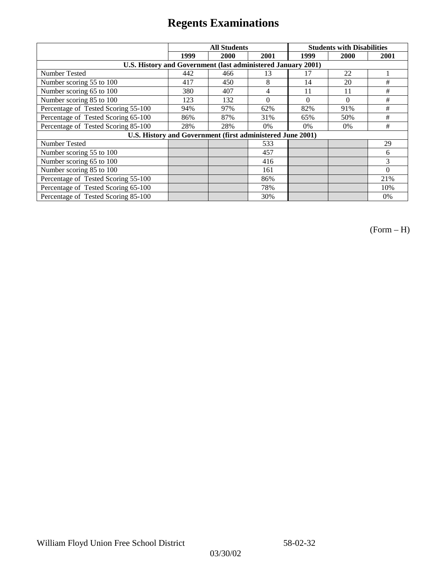|                                                              |      | <b>All Students</b>                                        |          | <b>Students with Disabilities</b> |          |          |
|--------------------------------------------------------------|------|------------------------------------------------------------|----------|-----------------------------------|----------|----------|
|                                                              | 1999 | 2000                                                       | 2001     | 1999                              | 2000     | 2001     |
| U.S. History and Government (last administered January 2001) |      |                                                            |          |                                   |          |          |
| Number Tested                                                | 442  | 466                                                        | 13       | 17                                | 22       |          |
| Number scoring 55 to 100                                     | 417  | 450                                                        | 8        | 14                                | 20       | #        |
| Number scoring 65 to 100                                     | 380  | 407                                                        | 4        | 11                                | 11       | #        |
| Number scoring 85 to 100                                     | 123  | 132                                                        | $\Omega$ | $\Omega$                          | $\Omega$ | #        |
| Percentage of Tested Scoring 55-100                          | 94%  | 97%                                                        | 62%      | 82%                               | 91%      | #        |
| Percentage of Tested Scoring 65-100                          | 86%  | 87%                                                        | 31%      | 65%                               | 50%      | #        |
| Percentage of Tested Scoring 85-100                          | 28%  | 28%                                                        | 0%       | $0\%$                             | 0%       | #        |
|                                                              |      | U.S. History and Government (first administered June 2001) |          |                                   |          |          |
| Number Tested                                                |      |                                                            | 533      |                                   |          | 29       |
| Number scoring 55 to 100                                     |      |                                                            | 457      |                                   |          | 6        |
| Number scoring 65 to 100                                     |      |                                                            | 416      |                                   |          | 3        |
| Number scoring 85 to 100                                     |      |                                                            | 161      |                                   |          | $\Omega$ |
| Percentage of Tested Scoring 55-100                          |      |                                                            | 86%      |                                   |          | 21%      |
| Percentage of Tested Scoring 65-100                          |      |                                                            | 78%      |                                   |          | 10%      |
| Percentage of Tested Scoring 85-100                          |      |                                                            | 30%      |                                   |          | 0%       |

(Form – H)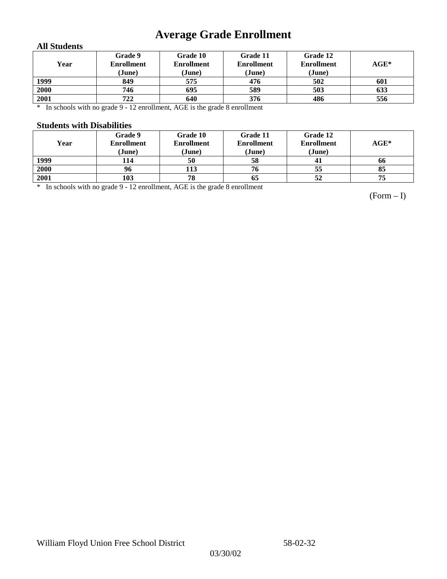# **Average Grade Enrollment**

### **All Students**

| Year | Grade 9<br><b>Enrollment</b><br>(June) | Grade 10<br><b>Enrollment</b><br>(June) | Grade 11<br><b>Enrollment</b><br>(June) | Grade 12<br><b>Enrollment</b><br>(June) | $AGE^*$ |
|------|----------------------------------------|-----------------------------------------|-----------------------------------------|-----------------------------------------|---------|
| 1999 | 849                                    | 575                                     | 476                                     | 502                                     | 601     |
| 2000 | 746                                    | 695                                     | 589                                     | 503                                     | 633     |
| 2001 | 722                                    | 640                                     | 376                                     | 486                                     | 556     |

\* In schools with no grade 9 - 12 enrollment, AGE is the grade 8 enrollment

#### **Students with Disabilities**

| Year | Grade 9<br><b>Enrollment</b> | Grade 10<br><b>Enrollment</b> | Grade 11<br><b>Enrollment</b> | Grade 12<br><b>Enrollment</b> | $AGE^*$ |
|------|------------------------------|-------------------------------|-------------------------------|-------------------------------|---------|
|      | (June)                       | (June)                        | (June)                        | (June)                        |         |
| 1999 | 114                          | 50                            | 58                            | 41                            | 66      |
| 2000 | 96                           | 113                           | 76                            | 55                            | 85      |
| 2001 | 103                          | 78                            | 65                            | 52                            | 75      |

\* In schools with no grade 9 - 12 enrollment, AGE is the grade 8 enrollment

(Form – I)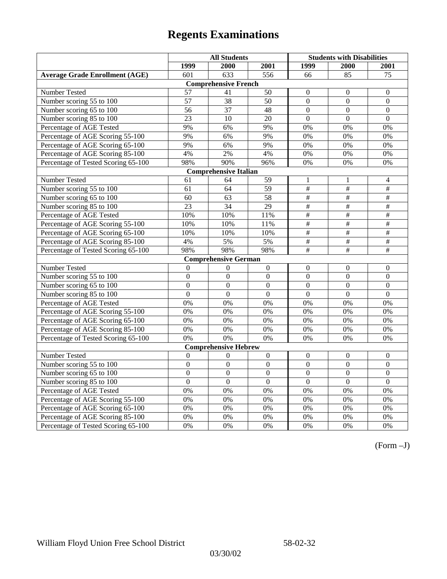|                                       | <b>All Students</b> |                              |                  | <b>Students with Disabilities</b> |                           |                          |
|---------------------------------------|---------------------|------------------------------|------------------|-----------------------------------|---------------------------|--------------------------|
|                                       | 1999                | 2000                         | 2001             | 1999                              | 2000                      | 2001                     |
| <b>Average Grade Enrollment (AGE)</b> | 601                 | 633                          | 556              | 66                                | 85                        | 75                       |
|                                       |                     | <b>Comprehensive French</b>  |                  |                                   |                           |                          |
| Number Tested                         | 57                  | 41                           | 50               | $\mathbf{0}$                      | $\theta$                  | $\mathbf{0}$             |
| Number scoring 55 to 100              | $\overline{57}$     | $\overline{38}$              | 50               | $\theta$                          | $\Omega$                  | $\mathbf{0}$             |
| Number scoring 65 to 100              | 56                  | 37                           | 48               | $\mathbf{0}$                      | $\mathbf{0}$              | $\mathbf{0}$             |
| Number scoring 85 to 100              | 23                  | 10                           | 20               | $\overline{0}$                    | $\mathbf{0}$              | $\mathbf{0}$             |
| Percentage of AGE Tested              | 9%                  | 6%                           | 9%               | 0%                                | 0%                        | 0%                       |
| Percentage of AGE Scoring 55-100      | 9%                  | 6%                           | 9%               | 0%                                | 0%                        | 0%                       |
| Percentage of AGE Scoring 65-100      | 9%                  | 6%                           | 9%               | 0%                                | 0%                        | 0%                       |
| Percentage of AGE Scoring 85-100      | 4%                  | 2%                           | 4%               | $0\%$                             | 0%                        | 0%                       |
| Percentage of Tested Scoring 65-100   | 98%                 | 90%                          | 96%              | 0%                                | $\overline{0\%}$          | 0%                       |
|                                       |                     | <b>Comprehensive Italian</b> |                  |                                   |                           |                          |
| Number Tested                         | 61                  | 64                           | 59               | 1                                 | 1                         | $\overline{4}$           |
| Number scoring 55 to 100              | 61                  | 64                           | $\overline{59}$  | $\overline{\#}$                   | #                         | $\frac{1}{2}$            |
| Number scoring 65 to 100              | 60                  | 63                           | 58               | $\overline{\overline{H}}$         | $\#$                      | $\overline{+}$           |
| Number scoring 85 to 100              | $\overline{23}$     | 34                           | 29               | #                                 | #                         | $\#$                     |
| Percentage of AGE Tested              | 10%                 | 10%                          | 11%              | $\overline{\overline{H}}$         | $\overline{\overline{t}}$ | $\overline{+}$           |
| Percentage of AGE Scoring 55-100      | 10%                 | 10%                          | 11%              | $\overline{\#}$                   | #                         | $\overline{\overline{}}$ |
| Percentage of AGE Scoring 65-100      | 10%                 | 10%                          | 10%              | $\frac{1}{2}$                     | $\overline{\#}$           | #                        |
| Percentage of AGE Scoring 85-100      | 4%                  | 5%                           | 5%               | $\overline{\overline{t}}$         | #                         | #                        |
| Percentage of Tested Scoring 65-100   | 98%                 | 98%                          | 98%              | $\#$                              | $\#$                      | $\#$                     |
|                                       |                     | <b>Comprehensive German</b>  |                  |                                   |                           |                          |
| Number Tested                         | $\mathbf{0}$        | $\theta$                     | $\boldsymbol{0}$ | $\overline{0}$                    | $\theta$                  | $\mathbf{0}$             |
| Number scoring 55 to 100              | $\mathbf{0}$        | $\mathbf{0}$                 | $\overline{0}$   | $\overline{0}$                    | $\overline{0}$            | $\mathbf{0}$             |
| Number scoring 65 to 100              | $\overline{0}$      | $\mathbf{0}$                 | $\overline{0}$   | $\overline{0}$                    | $\mathbf{0}$              | $\boldsymbol{0}$         |
| Number scoring 85 to 100              | $\overline{0}$      | $\overline{0}$               | $\overline{0}$   | $\overline{0}$                    | $\overline{0}$            | $\overline{0}$           |
| Percentage of AGE Tested              | 0%                  | 0%                           | 0%               | 0%                                | 0%                        | 0%                       |
| Percentage of AGE Scoring 55-100      | 0%                  | 0%                           | 0%               | 0%                                | 0%                        | 0%                       |
| Percentage of AGE Scoring 65-100      | 0%                  | 0%                           | 0%               | 0%                                | 0%                        | 0%                       |
| Percentage of AGE Scoring 85-100      | 0%                  | 0%                           | 0%               | 0%                                | 0%                        | 0%                       |
| Percentage of Tested Scoring 65-100   | 0%                  | 0%                           | 0%               | 0%                                | 0%                        | 0%                       |
|                                       |                     | <b>Comprehensive Hebrew</b>  |                  |                                   |                           |                          |
| Number Tested                         | $\boldsymbol{0}$    | $\Omega$                     | $\boldsymbol{0}$ | $\boldsymbol{0}$                  | $\boldsymbol{0}$          | $\boldsymbol{0}$         |
| Number scoring 55 to 100              | $\boldsymbol{0}$    | $\mathbf{0}$                 | $\overline{0}$   | $\overline{0}$                    | $\mathbf{0}$              | $\mathbf{0}$             |
| Number scoring 65 to 100              | $\boldsymbol{0}$    | $\mathbf{0}$                 | $\overline{0}$   | $\overline{0}$                    | $\mathbf{0}$              | $\mathbf{0}$             |
| Number scoring 85 to 100              | $\overline{0}$      | $\overline{0}$               | $\overline{0}$   | $\overline{0}$                    | $\Omega$                  | $\mathbf{0}$             |
| Percentage of AGE Tested              | 0%                  | 0%                           | 0%               | 0%                                | 0%                        | 0%                       |
| Percentage of AGE Scoring 55-100      | 0%                  | 0%                           | 0%               | 0%                                | 0%                        | 0%                       |
| Percentage of AGE Scoring 65-100      | 0%                  | 0%                           | 0%               | 0%                                | 0%                        | 0%                       |
| Percentage of AGE Scoring 85-100      | 0%                  | 0%                           | 0%               | $0\%$                             | 0%                        | 0%                       |
| Percentage of Tested Scoring 65-100   | 0%                  | 0%                           | 0%               | 0%                                | 0%                        | 0%                       |

(Form –J)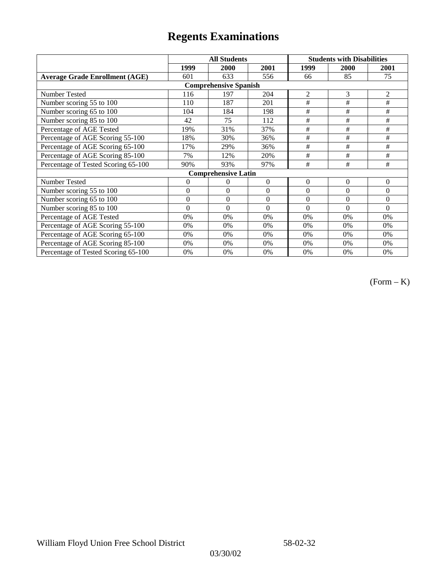|                                       | <b>All Students</b> |                            |                  | <b>Students with Disabilities</b> |                |                |  |  |
|---------------------------------------|---------------------|----------------------------|------------------|-----------------------------------|----------------|----------------|--|--|
|                                       | 1999                | 2000                       | 2001             | 1999                              | 2000           | 2001           |  |  |
| <b>Average Grade Enrollment (AGE)</b> | 601                 | 633                        | 556              | 66                                | 85             | 75             |  |  |
| <b>Comprehensive Spanish</b>          |                     |                            |                  |                                   |                |                |  |  |
| Number Tested                         | 116                 | 197                        | 204              | $\mathfrak{2}$                    | 3              | $\overline{2}$ |  |  |
| Number scoring 55 to 100              | 110                 | 187                        | 201              | #                                 | $\#$           | $\#$           |  |  |
| Number scoring 65 to 100              | 104                 | 184                        | 198              | #                                 | #              | #              |  |  |
| Number scoring 85 to 100              | 42                  | 75                         | 112              | #                                 | #              | #              |  |  |
| Percentage of AGE Tested              | 19%                 | 31%                        | 37%              | #                                 | #              | #              |  |  |
| Percentage of AGE Scoring 55-100      | 18%                 | 30%                        | 36%              | #                                 | $\#$           | $\#$           |  |  |
| Percentage of AGE Scoring 65-100      | 17%                 | 29%                        | 36%              | #                                 | #              | #              |  |  |
| Percentage of AGE Scoring 85-100      | 7%                  | 12%                        | 20%              | #                                 | #              | #              |  |  |
| Percentage of Tested Scoring 65-100   | 90%                 | 93%                        | 97%              | #                                 | #              | #              |  |  |
|                                       |                     | <b>Comprehensive Latin</b> |                  |                                   |                |                |  |  |
| Number Tested                         | $\overline{0}$      | $\theta$                   | $\Omega$         | $\overline{0}$                    | $\overline{0}$ | $\theta$       |  |  |
| Number scoring 55 to 100              | $\overline{0}$      | $\Omega$                   | $\boldsymbol{0}$ | $\theta$                          | $\theta$       | $\Omega$       |  |  |
| Number scoring 65 to 100              | $\mathbf{0}$        | $\theta$                   | $\theta$         | $\theta$                          | $\theta$       | $\Omega$       |  |  |
| Number scoring 85 to 100              | $\overline{0}$      | $\Omega$                   | $\Omega$         | $\Omega$                          | $\theta$       | $\Omega$       |  |  |
| Percentage of AGE Tested              | 0%                  | 0%                         | 0%               | 0%                                | 0%             | 0%             |  |  |
| Percentage of AGE Scoring 55-100      | 0%                  | 0%                         | 0%               | 0%                                | 0%             | 0%             |  |  |
| Percentage of AGE Scoring 65-100      | 0%                  | 0%                         | 0%               | 0%                                | 0%             | 0%             |  |  |
| Percentage of AGE Scoring 85-100      | 0%                  | 0%                         | 0%               | $0\%$                             | 0%             | 0%             |  |  |
| Percentage of Tested Scoring 65-100   | 0%                  | 0%                         | 0%               | 0%                                | 0%             | 0%             |  |  |

(Form – K)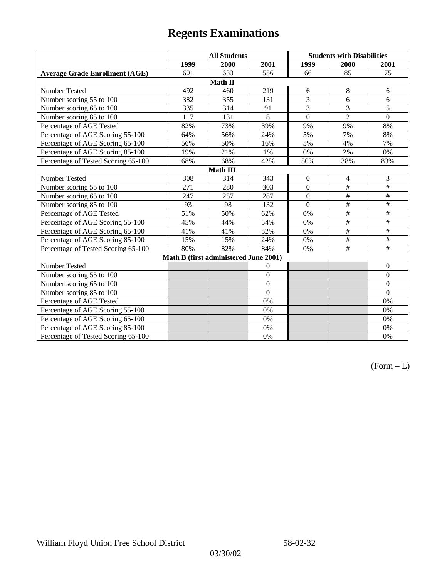|                                       |      | <b>All Students</b>                   |                |                  | <b>Students with Disabilities</b> |                          |  |  |
|---------------------------------------|------|---------------------------------------|----------------|------------------|-----------------------------------|--------------------------|--|--|
|                                       | 1999 | 2000                                  | 2001           | 1999             | 2000                              | 2001                     |  |  |
| <b>Average Grade Enrollment (AGE)</b> | 601  | 633                                   | 556            | 66               | 85                                | 75                       |  |  |
|                                       |      | Math II                               |                |                  |                                   |                          |  |  |
| Number Tested                         | 492  | 460                                   | 219            | 6                | 8                                 | 6                        |  |  |
| Number scoring 55 to 100              | 382  | 355                                   | 131            | $\overline{3}$   | 6                                 | 6                        |  |  |
| Number scoring 65 to 100              | 335  | 314                                   | 91             | 3                | 3                                 | 5                        |  |  |
| Number scoring 85 to 100              | 117  | 131                                   | 8              | $\overline{0}$   | $\overline{2}$                    | $\mathbf{0}$             |  |  |
| Percentage of AGE Tested              | 82%  | 73%                                   | 39%            | 9%               | 9%                                | 8%                       |  |  |
| Percentage of AGE Scoring 55-100      | 64%  | 56%                                   | 24%            | 5%               | 7%                                | 8%                       |  |  |
| Percentage of AGE Scoring 65-100      | 56%  | 50%                                   | 16%            | 5%               | 4%                                | 7%                       |  |  |
| Percentage of AGE Scoring 85-100      | 19%  | 21%                                   | 1%             | $0\%$            | 2%                                | $0\%$                    |  |  |
| Percentage of Tested Scoring 65-100   | 68%  | 68%                                   | 42%            | 50%              | 38%                               | 83%                      |  |  |
| Math III                              |      |                                       |                |                  |                                   |                          |  |  |
| Number Tested                         | 308  | 314                                   | 343            | $\boldsymbol{0}$ | $\overline{4}$                    | 3                        |  |  |
| Number scoring 55 to 100              | 271  | 280                                   | 303            | $\mathbf{0}$     | $\#$                              | $\frac{1}{2}$            |  |  |
| Number scoring 65 to 100              | 247  | 257                                   | 287            | $\overline{0}$   | $\#$                              | $\#$                     |  |  |
| Number scoring 85 to 100              | 93   | 98                                    | 132            | $\overline{0}$   | $\#$                              | $\#$                     |  |  |
| Percentage of AGE Tested              | 51%  | 50%                                   | 62%            | $0\%$            | $\overline{\overline{}}$          | $\#$                     |  |  |
| Percentage of AGE Scoring 55-100      | 45%  | 44%                                   | 54%            | $0\%$            | $\overline{\overline{}}$          | $\overline{\overline{}}$ |  |  |
| Percentage of AGE Scoring 65-100      | 41%  | 41%                                   | 52%            | $0\%$            | $\overline{\#}$                   | $\#$                     |  |  |
| Percentage of AGE Scoring 85-100      | 15%  | 15%                                   | 24%            | $0\%$            | $\#$                              | $\#$                     |  |  |
| Percentage of Tested Scoring 65-100   | 80%  | 82%                                   | 84%            | 0%               | #                                 | $\#$                     |  |  |
|                                       |      | Math B (first administered June 2001) |                |                  |                                   |                          |  |  |
| Number Tested                         |      |                                       | $\theta$       |                  |                                   | $\boldsymbol{0}$         |  |  |
| Number scoring 55 to 100              |      |                                       | $\overline{0}$ |                  |                                   | $\boldsymbol{0}$         |  |  |
| Number scoring 65 to 100              |      |                                       | $\overline{0}$ |                  |                                   | $\mathbf{0}$             |  |  |
| Number scoring 85 to 100              |      |                                       | $\overline{0}$ |                  |                                   | $\mathbf{0}$             |  |  |
| Percentage of AGE Tested              |      |                                       | 0%             |                  |                                   | 0%                       |  |  |
| Percentage of AGE Scoring 55-100      |      |                                       | 0%             |                  |                                   | $0\%$                    |  |  |
| Percentage of AGE Scoring 65-100      |      |                                       | 0%             |                  |                                   | 0%                       |  |  |
| Percentage of AGE Scoring 85-100      |      |                                       | 0%             |                  |                                   | 0%                       |  |  |
| Percentage of Tested Scoring 65-100   |      |                                       | 0%             |                  |                                   | 0%                       |  |  |

 $(Form - L)$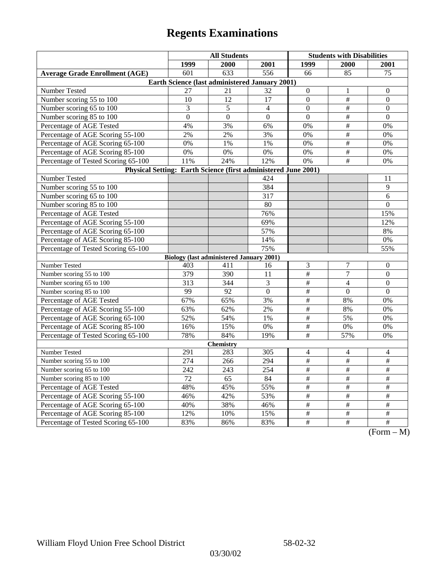|                                                                | <b>All Students</b> |                                                 |                  | <b>Students with Disabilities</b> |                      |                                                                           |  |  |
|----------------------------------------------------------------|---------------------|-------------------------------------------------|------------------|-----------------------------------|----------------------|---------------------------------------------------------------------------|--|--|
|                                                                | 1999                | 2000                                            | 2001             | 1999                              | 2000                 | 2001                                                                      |  |  |
| <b>Average Grade Enrollment (AGE)</b>                          | 601                 | 633                                             | 556              | 66                                | 85                   | 75                                                                        |  |  |
| Earth Science (last administered January 2001)                 |                     |                                                 |                  |                                   |                      |                                                                           |  |  |
| Number Tested                                                  | 27                  | 21                                              | 32               | $\mathbf{0}$                      | 1                    | $\theta$                                                                  |  |  |
| Number scoring 55 to 100                                       | 10                  | 12                                              | 17               | $\mathbf{0}$                      | $\#$                 | $\mathbf{0}$                                                              |  |  |
| Number scoring 65 to 100                                       | 3                   | 5                                               | $\overline{4}$   | $\boldsymbol{0}$                  | $\overline{\ddot{}}$ | $\boldsymbol{0}$                                                          |  |  |
| Number scoring 85 to 100                                       | $\mathbf{0}$        | $\mathbf{0}$                                    | $\mathbf{0}$     | $\mathbf{0}$                      | $\overline{\#}$      | $\mathbf{0}$                                                              |  |  |
| Percentage of AGE Tested                                       | 4%                  | 3%                                              | 6%               | 0%                                | $\#$                 | 0%                                                                        |  |  |
| Percentage of AGE Scoring 55-100                               | 2%                  | 2%                                              | 3%               | 0%                                | $\#$                 | 0%                                                                        |  |  |
| Percentage of AGE Scoring 65-100                               | 0%                  | 1%                                              | 1%               | 0%                                | $\overline{\#}$      | 0%                                                                        |  |  |
| Percentage of AGE Scoring 85-100                               | 0%                  | $0\%$                                           | 0%               | $0\%$                             | #                    | 0%                                                                        |  |  |
| Percentage of Tested Scoring 65-100                            | 11%                 | 24%                                             | 12%              | 0%                                | #                    | 0%                                                                        |  |  |
| Physical Setting: Earth Science (first administered June 2001) |                     |                                                 |                  |                                   |                      |                                                                           |  |  |
| Number Tested                                                  |                     |                                                 | 424              |                                   |                      | 11                                                                        |  |  |
| Number scoring 55 to 100                                       |                     |                                                 | 384              |                                   |                      | 9                                                                         |  |  |
| Number scoring 65 to 100                                       |                     |                                                 | 317              |                                   |                      | 6                                                                         |  |  |
| Number scoring 85 to 100                                       |                     |                                                 | 80               |                                   |                      | $\theta$                                                                  |  |  |
| Percentage of AGE Tested                                       |                     |                                                 | 76%              |                                   |                      | 15%                                                                       |  |  |
| Percentage of AGE Scoring 55-100                               |                     |                                                 | 69%              |                                   |                      | 12%                                                                       |  |  |
| Percentage of AGE Scoring 65-100                               |                     |                                                 | 57%              |                                   |                      | 8%                                                                        |  |  |
| Percentage of AGE Scoring 85-100                               |                     |                                                 | 14%              |                                   |                      | $0\%$                                                                     |  |  |
| Percentage of Tested Scoring 65-100                            |                     |                                                 | 75%              |                                   |                      | 55%                                                                       |  |  |
|                                                                |                     | <b>Biology (last administered January 2001)</b> |                  |                                   |                      |                                                                           |  |  |
| Number Tested                                                  | 403                 | 411                                             | 16               | $\mathfrak{Z}$                    | 7                    | $\boldsymbol{0}$                                                          |  |  |
| Number scoring 55 to 100                                       | 379                 | 390                                             | 11               | $\#$                              | $\overline{7}$       | $\mathbf{0}$                                                              |  |  |
| Number scoring 65 to 100                                       | 313                 | 344                                             | 3                | $\#$                              | $\overline{4}$       | $\theta$                                                                  |  |  |
| Number scoring 85 to 100                                       | 99                  | 92                                              | $\boldsymbol{0}$ | $\overline{\#}$                   | $\theta$             | $\Omega$                                                                  |  |  |
| Percentage of AGE Tested                                       | 67%                 | 65%                                             | 3%               | $\overline{\#}$                   | 8%                   | 0%                                                                        |  |  |
| Percentage of AGE Scoring 55-100                               | 63%                 | 62%                                             | 2%               | $\#$                              | 8%                   | 0%                                                                        |  |  |
| Percentage of AGE Scoring 65-100                               | 52%                 | 54%                                             | 1%               | $\#$                              | 5%                   | 0%                                                                        |  |  |
| Percentage of AGE Scoring 85-100                               | 16%                 | 15%                                             | 0%               | $\overline{\#}$                   | $0\%$                | 0%                                                                        |  |  |
| Percentage of Tested Scoring 65-100                            | 78%                 | 84%                                             | 19%              | #                                 | 57%                  | 0%                                                                        |  |  |
| <b>Chemistry</b>                                               |                     |                                                 |                  |                                   |                      |                                                                           |  |  |
| Number Tested                                                  | 291                 | 283                                             | 305              | $\overline{\mathcal{A}}$          | 4                    | 4                                                                         |  |  |
| Number scoring 55 to 100                                       | 274                 | 266                                             | 294              | $\#$                              | $\#$                 | $\overline{\#}$                                                           |  |  |
| Number scoring 65 to 100                                       | 242                 | 243                                             | 254              | $\frac{1}{2}$                     | $\frac{1}{2}$        | $\frac{1}{2}$                                                             |  |  |
| Number scoring 85 to 100                                       | 72                  | 65                                              | 84               | $\#$                              | $\#$                 | $\#$                                                                      |  |  |
| Percentage of AGE Tested                                       | 48%                 | 45%                                             | 55%              | $\#$                              | $\#$                 | $\#$                                                                      |  |  |
| Percentage of AGE Scoring 55-100                               | 46%                 | 42%                                             | 53%              | $\#$                              | #                    | #                                                                         |  |  |
| Percentage of AGE Scoring 65-100                               | 40%                 | 38%                                             | 46%              | $\overline{\#}$                   | $\overline{\#}$      | $\overline{\#}$                                                           |  |  |
| Percentage of AGE Scoring 85-100                               | 12%                 | 10%                                             | 15%              | $\frac{1}{2}$                     | $\frac{1}{2}$        | $\overline{\#}$                                                           |  |  |
| Percentage of Tested Scoring 65-100                            | 83%                 | 86%                                             | 83%              | $\#$                              | $\overline{+}$       | $\overline{+}$<br>$\Gamma$ <sub><math>\alpha</math></sub><br>$\mathbf{M}$ |  |  |

(Form – M)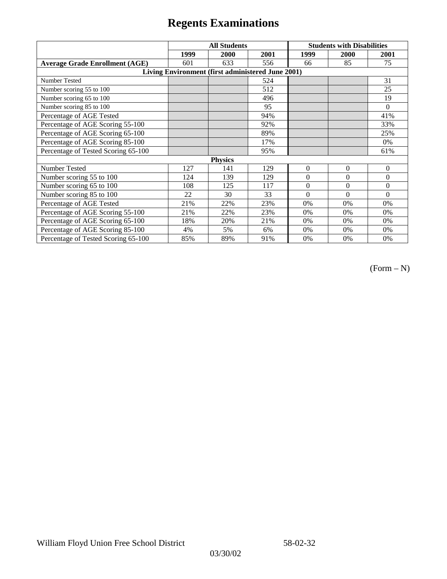|                                                   | <b>All Students</b> |      |      | <b>Students with Disabilities</b> |              |          |  |  |
|---------------------------------------------------|---------------------|------|------|-----------------------------------|--------------|----------|--|--|
|                                                   | 1999                | 2000 | 2001 | 1999                              | 2000         | 2001     |  |  |
| <b>Average Grade Enrollment (AGE)</b>             | 601                 | 633  | 556  | 66                                | 85           | 75       |  |  |
| Living Environment (first administered June 2001) |                     |      |      |                                   |              |          |  |  |
| <b>Number Tested</b>                              |                     |      | 524  |                                   |              | 31       |  |  |
| Number scoring 55 to 100                          |                     |      | 512  |                                   |              | 25       |  |  |
| Number scoring 65 to 100                          |                     |      | 496  |                                   |              | 19       |  |  |
| Number scoring 85 to 100                          |                     |      | 95   |                                   |              | $\Omega$ |  |  |
| Percentage of AGE Tested                          |                     |      | 94%  |                                   |              | 41%      |  |  |
| Percentage of AGE Scoring 55-100                  |                     |      | 92%  |                                   |              | 33%      |  |  |
| Percentage of AGE Scoring 65-100                  |                     |      | 89%  |                                   |              | 25%      |  |  |
| Percentage of AGE Scoring 85-100                  |                     |      | 17%  |                                   |              | 0%       |  |  |
| Percentage of Tested Scoring 65-100               |                     |      | 95%  |                                   |              | 61%      |  |  |
| <b>Physics</b>                                    |                     |      |      |                                   |              |          |  |  |
| Number Tested                                     | 127                 | 141  | 129  | $\mathbf{0}$                      | $\mathbf{0}$ | $\theta$ |  |  |
| Number scoring 55 to 100                          | 124                 | 139  | 129  | $\Omega$                          | $\theta$     | $\theta$ |  |  |
| Number scoring 65 to 100                          | 108                 | 125  | 117  | $\Omega$                          | $\theta$     | $\theta$ |  |  |
| Number scoring 85 to 100                          | 22                  | 30   | 33   | $\Omega$                          | $\Omega$     | $\Omega$ |  |  |
| Percentage of AGE Tested                          | 21%                 | 22%  | 23%  | 0%                                | 0%           | 0%       |  |  |
| Percentage of AGE Scoring 55-100                  | 21%                 | 22%  | 23%  | $0\%$                             | 0%           | 0%       |  |  |
| Percentage of AGE Scoring 65-100                  | 18%                 | 20%  | 21%  | 0%                                | 0%           | 0%       |  |  |
| Percentage of AGE Scoring 85-100                  | 4%                  | 5%   | 6%   | 0%                                | 0%           | 0%       |  |  |
| Percentage of Tested Scoring 65-100               | 85%                 | 89%  | 91%  | 0%                                | 0%           | 0%       |  |  |

(Form – N)